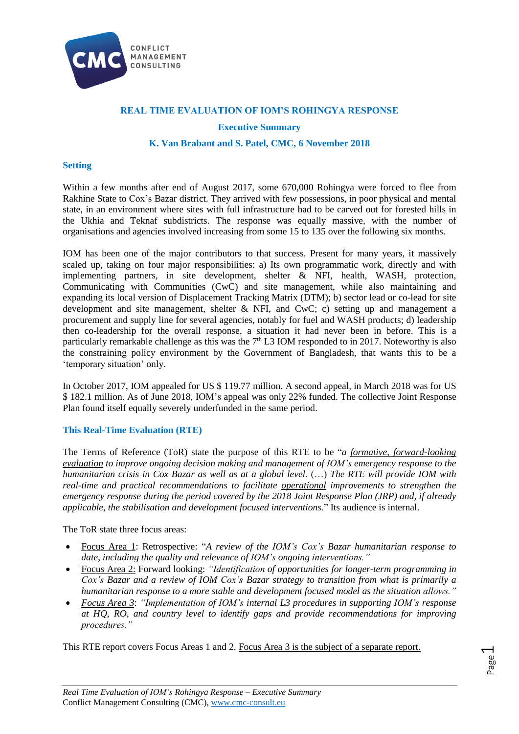

# **REAL TIME EVALUATION OF IOM'S ROHINGYA RESPONSE**

### **Executive Summary**

### **K. Van Brabant and S. Patel, CMC, 6 November 2018**

#### **Setting**

Within a few months after end of August 2017, some 670,000 Rohingya were forced to flee from Rakhine State to Cox's Bazar district. They arrived with few possessions, in poor physical and mental state, in an environment where sites with full infrastructure had to be carved out for forested hills in the Ukhia and Teknaf subdistricts. The response was equally massive, with the number of organisations and agencies involved increasing from some 15 to 135 over the following six months.

IOM has been one of the major contributors to that success. Present for many years, it massively scaled up, taking on four major responsibilities: a) Its own programmatic work, directly and with implementing partners, in site development, shelter & NFI, health, WASH, protection, Communicating with Communities (CwC) and site management, while also maintaining and expanding its local version of Displacement Tracking Matrix (DTM); b) sector lead or co-lead for site development and site management, shelter & NFI, and CwC; c) setting up and management a procurement and supply line for several agencies, notably for fuel and WASH products; d) leadership then co-leadership for the overall response, a situation it had never been in before. This is a particularly remarkable challenge as this was the  $7<sup>th</sup> L3$  IOM responded to in 2017. Noteworthy is also the constraining policy environment by the Government of Bangladesh, that wants this to be a 'temporary situation' only.

In October 2017, IOM appealed for US \$ 119.77 million. A second appeal, in March 2018 was for US \$ 182.1 million. As of June 2018, IOM's appeal was only 22% funded. The collective Joint Response Plan found itself equally severely underfunded in the same period.

### **This Real-Time Evaluation (RTE)**

The Terms of Reference (ToR) state the purpose of this RTE to be "*a formative, forward-looking evaluation to improve ongoing decision making and management of IOM's emergency response to the humanitarian crisis in Cox Bazar as well as at a global level.* (…) *The RTE will provide IOM with real-time and practical recommendations to facilitate operational improvements to strengthen the emergency response during the period covered by the 2018 Joint Response Plan (JRP) and, if already applicable, the stabilisation and development focused interventions.*" Its audience is internal.

The ToR state three focus areas:

- Focus Area 1: Retrospective: "*A review of the IOM's Cox's Bazar humanitarian response to date, including the quality and relevance of IOM's ongoing interventions."*
- Focus Area 2: Forward looking: *"Identification of opportunities for longer-term programming in Cox's Bazar and a review of IOM Cox's Bazar strategy to transition from what is primarily a humanitarian response to a more stable and development focused model as the situation allows."*
- *Focus Area 3*: *"Implementation of IOM's internal L3 procedures in supporting IOM's response at HQ, RO, and country level to identify gaps and provide recommendations for improving procedures."*

This RTE report covers Focus Areas 1 and 2. Focus Area 3 is the subject of a separate report.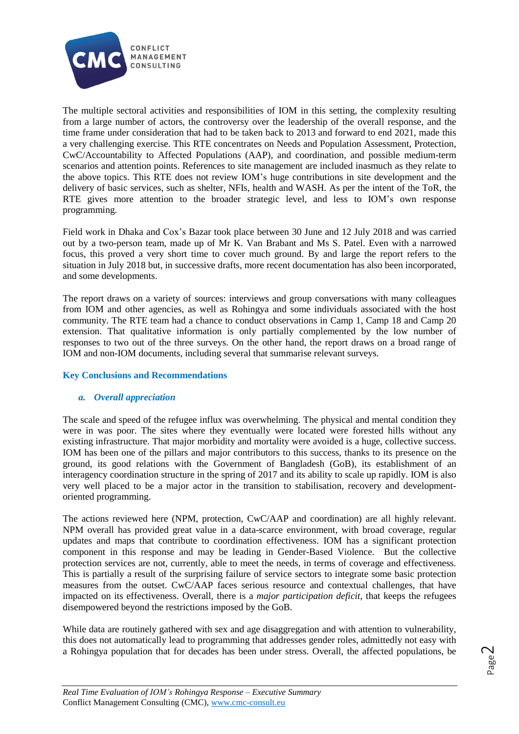

The multiple sectoral activities and responsibilities of IOM in this setting, the complexity resulting from a large number of actors, the controversy over the leadership of the overall response, and the time frame under consideration that had to be taken back to 2013 and forward to end 2021, made this a very challenging exercise. This RTE concentrates on Needs and Population Assessment, Protection, CwC/Accountability to Affected Populations (AAP), and coordination, and possible medium-term scenarios and attention points. References to site management are included inasmuch as they relate to the above topics. This RTE does not review IOM's huge contributions in site development and the delivery of basic services, such as shelter, NFIs, health and WASH. As per the intent of the ToR, the RTE gives more attention to the broader strategic level, and less to IOM's own response programming.

Field work in Dhaka and Cox's Bazar took place between 30 June and 12 July 2018 and was carried out by a two-person team, made up of Mr K. Van Brabant and Ms S. Patel. Even with a narrowed focus, this proved a very short time to cover much ground. By and large the report refers to the situation in July 2018 but, in successive drafts, more recent documentation has also been incorporated, and some developments.

The report draws on a variety of sources: interviews and group conversations with many colleagues from IOM and other agencies, as well as Rohingya and some individuals associated with the host community. The RTE team had a chance to conduct observations in Camp 1, Camp 18 and Camp 20 extension. That qualitative information is only partially complemented by the low number of responses to two out of the three surveys. On the other hand, the report draws on a broad range of IOM and non-IOM documents, including several that summarise relevant surveys.

# **Key Conclusions and Recommendations**

# *a. Overall appreciation*

The scale and speed of the refugee influx was overwhelming. The physical and mental condition they were in was poor. The sites where they eventually were located were forested hills without any existing infrastructure. That major morbidity and mortality were avoided is a huge, collective success. IOM has been one of the pillars and major contributors to this success, thanks to its presence on the ground, its good relations with the Government of Bangladesh (GoB), its establishment of an interagency coordination structure in the spring of 2017 and its ability to scale up rapidly. IOM is also very well placed to be a major actor in the transition to stabilisation, recovery and developmentoriented programming.

The actions reviewed here (NPM, protection, CwC/AAP and coordination) are all highly relevant. NPM overall has provided great value in a data-scarce environment, with broad coverage, regular updates and maps that contribute to coordination effectiveness. IOM has a significant protection component in this response and may be leading in Gender-Based Violence. But the collective protection services are not, currently, able to meet the needs, in terms of coverage and effectiveness. This is partially a result of the surprising failure of service sectors to integrate some basic protection measures from the outset. CwC/AAP faces serious resource and contextual challenges, that have impacted on its effectiveness. Overall, there is a *major participation deficit*, that keeps the refugees disempowered beyond the restrictions imposed by the GoB.

While data are routinely gathered with sex and age disaggregation and with attention to vulnerability, this does not automatically lead to programming that addresses gender roles, admittedly not easy with a Rohingya population that for decades has been under stress. Overall, the affected populations, be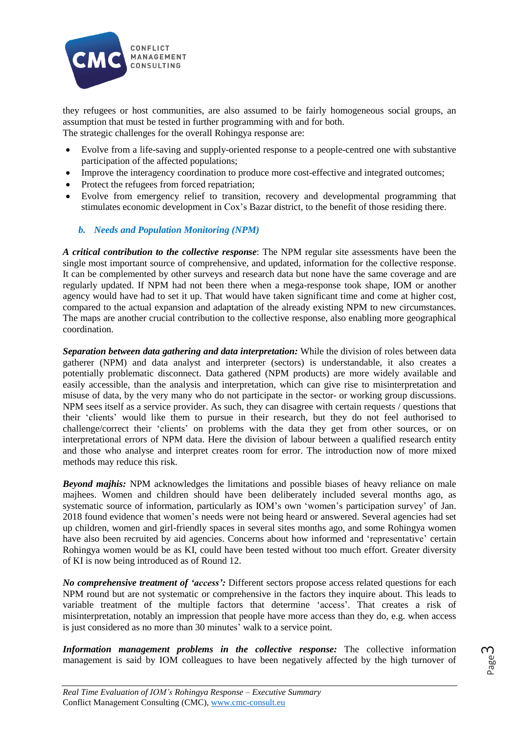

they refugees or host communities, are also assumed to be fairly homogeneous social groups, an assumption that must be tested in further programming with and for both. The strategic challenges for the overall Rohingya response are:

- Evolve from a life-saving and supply-oriented response to a people-centred one with substantive participation of the affected populations;
- Improve the interagency coordination to produce more cost-effective and integrated outcomes;
- Protect the refugees from forced repatriation;
- Evolve from emergency relief to transition, recovery and developmental programming that stimulates economic development in Cox's Bazar district, to the benefit of those residing there.
	- *b. Needs and Population Monitoring (NPM)*

*A critical contribution to the collective response*: The NPM regular site assessments have been the single most important source of comprehensive, and updated, information for the collective response. It can be complemented by other surveys and research data but none have the same coverage and are regularly updated. If NPM had not been there when a mega-response took shape, IOM or another agency would have had to set it up. That would have taken significant time and come at higher cost, compared to the actual expansion and adaptation of the already existing NPM to new circumstances. The maps are another crucial contribution to the collective response, also enabling more geographical coordination.

*Separation between data gathering and data interpretation:* While the division of roles between data gatherer (NPM) and data analyst and interpreter (sectors) is understandable, it also creates a potentially problematic disconnect. Data gathered (NPM products) are more widely available and easily accessible, than the analysis and interpretation, which can give rise to misinterpretation and misuse of data, by the very many who do not participate in the sector- or working group discussions. NPM sees itself as a service provider. As such, they can disagree with certain requests / questions that their 'clients' would like them to pursue in their research, but they do not feel authorised to challenge/correct their 'clients' on problems with the data they get from other sources, or on interpretational errors of NPM data. Here the division of labour between a qualified research entity and those who analyse and interpret creates room for error. The introduction now of more mixed methods may reduce this risk.

*Beyond majhis:* NPM acknowledges the limitations and possible biases of heavy reliance on male majhees. Women and children should have been deliberately included several months ago, as systematic source of information, particularly as IOM's own 'women's participation survey' of Jan. 2018 found evidence that women's needs were not being heard or answered. Several agencies had set up children, women and girl-friendly spaces in several sites months ago, and some Rohingya women have also been recruited by aid agencies. Concerns about how informed and 'representative' certain Rohingya women would be as KI, could have been tested without too much effort. Greater diversity of KI is now being introduced as of Round 12.

*No comprehensive treatment of 'access':* Different sectors propose access related questions for each NPM round but are not systematic or comprehensive in the factors they inquire about. This leads to variable treatment of the multiple factors that determine 'access'. That creates a risk of misinterpretation, notably an impression that people have more access than they do, e.g. when access is just considered as no more than 30 minutes' walk to a service point.

*Information management problems in the collective response:* The collective information management is said by IOM colleagues to have been negatively affected by the high turnover of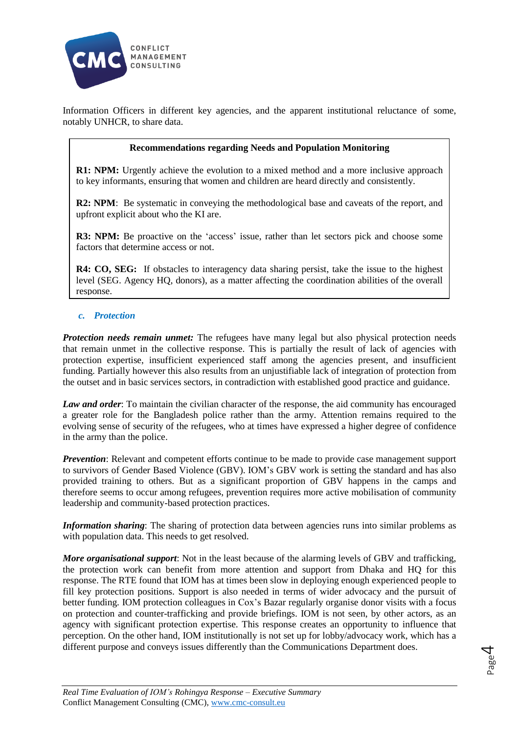

Information Officers in different key agencies, and the apparent institutional reluctance of some, notably UNHCR, to share data.

### **Recommendations regarding Needs and Population Monitoring**

**R1: NPM:** Urgently achieve the evolution to a mixed method and a more inclusive approach to key informants, ensuring that women and children are heard directly and consistently.

**R2: NPM**: Be systematic in conveying the methodological base and caveats of the report, and upfront explicit about who the KI are.

**R3: NPM:** Be proactive on the 'access' issue, rather than let sectors pick and choose some factors that determine access or not.

**R4: CO, SEG:** If obstacles to interagency data sharing persist, take the issue to the highest level (SEG. Agency HQ, donors), as a matter affecting the coordination abilities of the overall response.

## *c. Protection*

*Protection needs remain unmet:* The refugees have many legal but also physical protection needs that remain unmet in the collective response. This is partially the result of lack of agencies with protection expertise, insufficient experienced staff among the agencies present, and insufficient funding. Partially however this also results from an unjustifiable lack of integration of protection from the outset and in basic services sectors, in contradiction with established good practice and guidance.

*Law and order*: To maintain the civilian character of the response, the aid community has encouraged a greater role for the Bangladesh police rather than the army. Attention remains required to the evolving sense of security of the refugees, who at times have expressed a higher degree of confidence in the army than the police.

*Prevention*: Relevant and competent efforts continue to be made to provide case management support to survivors of Gender Based Violence (GBV). IOM's GBV work is setting the standard and has also provided training to others. But as a significant proportion of GBV happens in the camps and therefore seems to occur among refugees, prevention requires more active mobilisation of community leadership and community-based protection practices.

*Information sharing*: The sharing of protection data between agencies runs into similar problems as with population data. This needs to get resolved.

*More organisational support*: Not in the least because of the alarming levels of GBV and trafficking, the protection work can benefit from more attention and support from Dhaka and HQ for this response. The RTE found that IOM has at times been slow in deploying enough experienced people to fill key protection positions. Support is also needed in terms of wider advocacy and the pursuit of better funding. IOM protection colleagues in Cox's Bazar regularly organise donor visits with a focus on protection and counter-trafficking and provide briefings. IOM is not seen, by other actors, as an agency with significant protection expertise. This response creates an opportunity to influence that perception. On the other hand, IOM institutionally is not set up for lobby/advocacy work, which has a different purpose and conveys issues differently than the Communications Department does.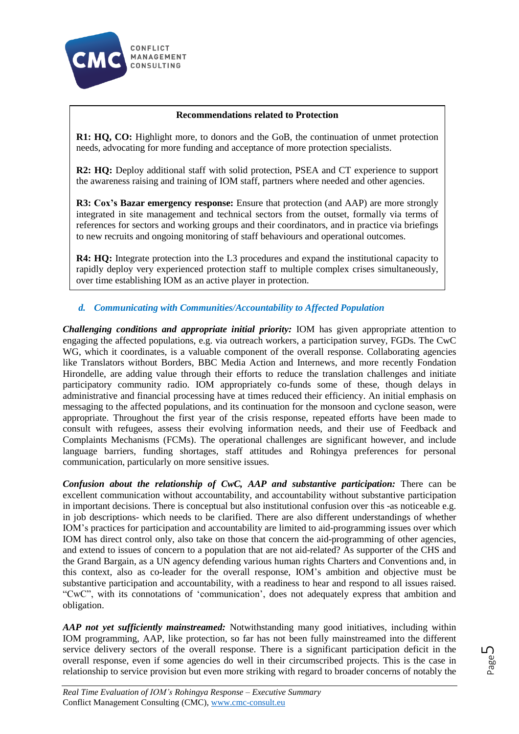

# **Recommendations related to Protection**

**R1: HQ, CO:** Highlight more, to donors and the GoB, the continuation of unmet protection needs, advocating for more funding and acceptance of more protection specialists.

**R2: HQ:** Deploy additional staff with solid protection, PSEA and CT experience to support the awareness raising and training of IOM staff, partners where needed and other agencies.

**R3: Cox's Bazar emergency response:** Ensure that protection (and AAP) are more strongly integrated in site management and technical sectors from the outset, formally via terms of references for sectors and working groups and their coordinators, and in practice via briefings to new recruits and ongoing monitoring of staff behaviours and operational outcomes.

**R4: HQ:** Integrate protection into the L3 procedures and expand the institutional capacity to rapidly deploy very experienced protection staff to multiple complex crises simultaneously, over time establishing IOM as an active player in protection.

# *d. Communicating with Communities/Accountability to Affected Population*

*Challenging conditions and appropriate initial priority:* IOM has given appropriate attention to engaging the affected populations, e.g. via outreach workers, a participation survey, FGDs. The CwC WG, which it coordinates, is a valuable component of the overall response. Collaborating agencies like Translators without Borders, BBC Media Action and Internews, and more recently Fondation Hirondelle, are adding value through their efforts to reduce the translation challenges and initiate participatory community radio. IOM appropriately co-funds some of these, though delays in administrative and financial processing have at times reduced their efficiency. An initial emphasis on messaging to the affected populations, and its continuation for the monsoon and cyclone season, were appropriate. Throughout the first year of the crisis response, repeated efforts have been made to consult with refugees, assess their evolving information needs, and their use of Feedback and Complaints Mechanisms (FCMs). The operational challenges are significant however, and include language barriers, funding shortages, staff attitudes and Rohingya preferences for personal communication, particularly on more sensitive issues.

*Confusion about the relationship of CwC, AAP and substantive participation:* There can be excellent communication without accountability, and accountability without substantive participation in important decisions. There is conceptual but also institutional confusion over this -as noticeable e.g. in job descriptions- which needs to be clarified. There are also different understandings of whether IOM's practices for participation and accountability are limited to aid-programming issues over which IOM has direct control only, also take on those that concern the aid-programming of other agencies, and extend to issues of concern to a population that are not aid-related? As supporter of the CHS and the Grand Bargain, as a UN agency defending various human rights Charters and Conventions and, in this context, also as co-leader for the overall response, IOM's ambition and objective must be substantive participation and accountability, with a readiness to hear and respond to all issues raised. "CwC", with its connotations of 'communication', does not adequately express that ambition and obligation.

*AAP not yet sufficiently mainstreamed:* Notwithstanding many good initiatives, including within IOM programming, AAP, like protection, so far has not been fully mainstreamed into the different service delivery sectors of the overall response. There is a significant participation deficit in the overall response, even if some agencies do well in their circumscribed projects. This is the case in relationship to service provision but even more striking with regard to broader concerns of notably the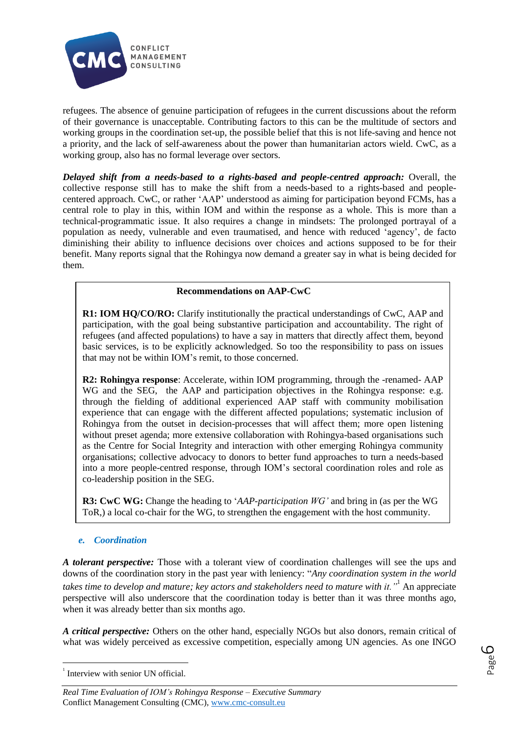

refugees. The absence of genuine participation of refugees in the current discussions about the reform of their governance is unacceptable. Contributing factors to this can be the multitude of sectors and working groups in the coordination set-up, the possible belief that this is not life-saving and hence not a priority, and the lack of self-awareness about the power than humanitarian actors wield. CwC, as a working group, also has no formal leverage over sectors.

*Delayed shift from a needs-based to a rights-based and people-centred approach:* Overall, the collective response still has to make the shift from a needs-based to a rights-based and peoplecentered approach. CwC, or rather 'AAP' understood as aiming for participation beyond FCMs, has a central role to play in this, within IOM and within the response as a whole. This is more than a technical-programmatic issue. It also requires a change in mindsets: The prolonged portrayal of a population as needy, vulnerable and even traumatised, and hence with reduced 'agency', de facto diminishing their ability to influence decisions over choices and actions supposed to be for their benefit. Many reports signal that the Rohingya now demand a greater say in what is being decided for them.

## **Recommendations on AAP-CwC**

**R1: IOM HQ/CO/RO:** Clarify institutionally the practical understandings of CwC, AAP and participation, with the goal being substantive participation and accountability. The right of refugees (and affected populations) to have a say in matters that directly affect them, beyond basic services, is to be explicitly acknowledged. So too the responsibility to pass on issues that may not be within IOM's remit, to those concerned.

**R2: Rohingya response**: Accelerate, within IOM programming, through the -renamed- AAP WG and the SEG, the AAP and participation objectives in the Rohingya response: e.g. through the fielding of additional experienced AAP staff with community mobilisation experience that can engage with the different affected populations; systematic inclusion of Rohingya from the outset in decision-processes that will affect them; more open listening without preset agenda; more extensive collaboration with Rohingya-based organisations such as the Centre for Social Integrity and interaction with other emerging Rohingya community organisations; collective advocacy to donors to better fund approaches to turn a needs-based into a more people-centred response, through IOM's sectoral coordination roles and role as co-leadership position in the SEG.

**R3: CwC WG:** Change the heading to '*AAP-participation WG'* and bring in (as per the WG ToR,) a local co-chair for the WG, to strengthen the engagement with the host community.

# *e. Coordination*

*A tolerant perspective:* Those with a tolerant view of coordination challenges will see the ups and downs of the coordination story in the past year with leniency: "*Any coordination system in the world takes time to develop and mature; key actors and stakeholders need to mature with it."*<sup>1</sup> An appreciate perspective will also underscore that the coordination today is better than it was three months ago, when it was already better than six months ago.

*A critical perspective:* Others on the other hand, especially NGOs but also donors, remain critical of what was widely perceived as excessive competition, especially among UN agencies. As one INGO

1

<sup>&</sup>lt;sup>1</sup> Interview with senior UN official.

*Real Time Evaluation of IOM's Rohingya Response – Executive Summary* Conflict Management Consulting (CMC), [www.cmc-consult.eu](http://www.cmc-consult.eu/)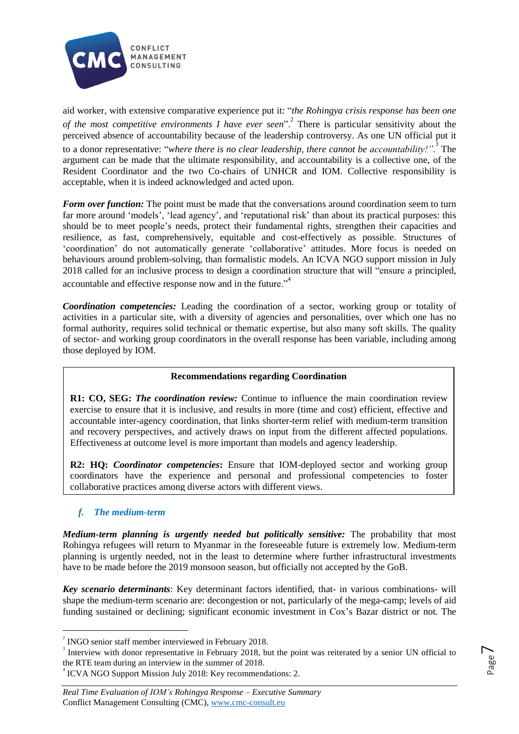

aid worker, with extensive comparative experience put it: "*the Rohingya crisis response has been one of the most competitive environments I have ever seen*".<sup>2</sup> There is particular sensitivity about the perceived absence of accountability because of the leadership controversy. As one UN official put it to a donor representative: "*where there is no clear leadership, there cannot be accountability!".* 3 The argument can be made that the ultimate responsibility, and accountability is a collective one, of the Resident Coordinator and the two Co-chairs of UNHCR and IOM. Collective responsibility is acceptable, when it is indeed acknowledged and acted upon.

*Form over function:* The point must be made that the conversations around coordination seem to turn far more around 'models', 'lead agency', and 'reputational risk' than about its practical purposes: this should be to meet people's needs, protect their fundamental rights, strengthen their capacities and resilience, as fast, comprehensively, equitable and cost-effectively as possible. Structures of 'coordination' do not automatically generate 'collaborative' attitudes. More focus is needed on behaviours around problem-solving, than formalistic models. An ICVA NGO support mission in July 2018 called for an inclusive process to design a coordination structure that will "ensure a principled, accountable and effective response now and in the future. $"$ <sup>4</sup>

*Coordination competencies:* Leading the coordination of a sector, working group or totality of activities in a particular site, with a diversity of agencies and personalities, over which one has no formal authority, requires solid technical or thematic expertise, but also many soft skills. The quality of sector- and working group coordinators in the overall response has been variable, including among those deployed by IOM.

# **Recommendations regarding Coordination**

**R1: CO, SEG:** *The coordination review:* Continue to influence the main coordination review exercise to ensure that it is inclusive, and results in more (time and cost) efficient, effective and accountable inter-agency coordination, that links shorter-term relief with medium-term transition and recovery perspectives, and actively draws on input from the different affected populations. Effectiveness at outcome level is more important than models and agency leadership.

**R2: HQ:** *Coordinator competencies***:** Ensure that IOM-deployed sector and working group coordinators have the experience and personal and professional competencies to foster collaborative practices among diverse actors with different views.

# *f. The medium-term*

1

*Medium-term planning is urgently needed but politically sensitive:* The probability that most Rohingya refugees will return to Myanmar in the foreseeable future is extremely low. Medium-term planning is urgently needed, not in the least to determine where further infrastructural investments have to be made before the 2019 monsoon season, but officially not accepted by the GoB.

*Key scenario determinants*: Key determinant factors identified, that- in various combinations- will shape the medium-term scenario are: decongestion or not, particularly of the mega-camp; levels of aid funding sustained or declining; significant economic investment in Cox's Bazar district or not. The

 $2^{2}$  INGO senior staff member interviewed in February 2018.

<sup>3</sup> Interview with donor representative in February 2018, but the point was reiterated by a senior UN official to the RTE team during an interview in the summer of 2018.

<sup>4</sup> ICVA NGO Support Mission July 2018: Key recommendations: 2.